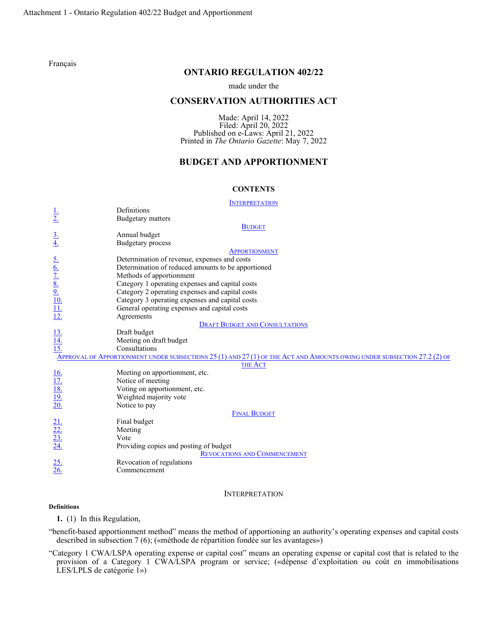[Français](http://www.ontario.ca/fr/lois/reglement/r22402)

# **ONTARIO REGULATION 402/22**

### made under the

## **CONSERVATION AUTHORITIES ACT**

Made: April 14, 2022 Filed: April 20, 2022 Published on e-Laws: April 21, 2022 Printed in *The Ontario Gazette*: May 7, 2022

# **BUDGET AND APPORTIONMENT**

### **CONTENTS**

| <b>INTERPRETATION</b>                                                                                                   |                                                    |  |  |
|-------------------------------------------------------------------------------------------------------------------------|----------------------------------------------------|--|--|
|                                                                                                                         | Definitions                                        |  |  |
| $\frac{1}{2}$                                                                                                           | <b>Budgetary matters</b>                           |  |  |
| <b>BUDGET</b>                                                                                                           |                                                    |  |  |
|                                                                                                                         | Annual budget                                      |  |  |
| $\frac{3}{4}$                                                                                                           | <b>Budgetary</b> process                           |  |  |
| <b>APPORTIONMENT</b>                                                                                                    |                                                    |  |  |
|                                                                                                                         | Determination of revenue, expenses and costs       |  |  |
|                                                                                                                         | Determination of reduced amounts to be apportioned |  |  |
|                                                                                                                         | Methods of apportionment                           |  |  |
|                                                                                                                         | Category 1 operating expenses and capital costs    |  |  |
|                                                                                                                         | Category 2 operating expenses and capital costs    |  |  |
|                                                                                                                         | Category 3 operating expenses and capital costs    |  |  |
|                                                                                                                         | General operating expenses and capital costs       |  |  |
| $\frac{6.6}{7.8}$<br>$\frac{8.9}{10.11}$<br>$\frac{11.1}{12.1}$                                                         | Agreements                                         |  |  |
| <b>DRAFT BUDGET AND CONSULTATIONS</b>                                                                                   |                                                    |  |  |
| $\frac{13}{14}$<br>$\frac{14}{15}$                                                                                      | Draft budget                                       |  |  |
|                                                                                                                         | Meeting on draft budget                            |  |  |
|                                                                                                                         | Consultations                                      |  |  |
| APPROVAL OF APPORTIONMENT UNDER SUBSECTIONS 25 (1) AND 27 (1) OF THE ACT AND AMOUNTS OWING UNDER SUBSECTION 27.2 (2) OF |                                                    |  |  |
| <b>THE ACT</b>                                                                                                          |                                                    |  |  |
|                                                                                                                         | Meeting on apportionment, etc.                     |  |  |
|                                                                                                                         | Notice of meeting                                  |  |  |
| $\frac{16.}{17.}$<br>$\frac{18.}{19.}$<br>$\frac{19.}{20.}$                                                             | Voting on apportionment, etc.                      |  |  |
|                                                                                                                         | Weighted majority vote                             |  |  |
|                                                                                                                         | Notice to pay                                      |  |  |
| <b>FINAL BUDGET</b>                                                                                                     |                                                    |  |  |
|                                                                                                                         | Final budget                                       |  |  |
|                                                                                                                         | Meeting                                            |  |  |
|                                                                                                                         | Vote                                               |  |  |
| $\frac{21}{22}$<br>$\frac{22}{23}$<br>$\frac{23}{24}$                                                                   | Providing copies and posting of budget             |  |  |
| <b>REVOCATIONS AND COMMENCEMENT</b>                                                                                     |                                                    |  |  |
| $\frac{25}{26}$                                                                                                         | Revocation of regulations                          |  |  |
|                                                                                                                         | Commencement                                       |  |  |
|                                                                                                                         |                                                    |  |  |

### INTERPRETATION

### <span id="page-0-0"></span>**Definitions**

<span id="page-0-1"></span>**1.** (1) In this Regulation,

"benefit-based apportionment method" means the method of apportioning an authority's operating expenses and capital costs described in subsection 7 (6); («méthode de répartition fondée sur les avantages»)

"Category 1 CWA/LSPA operating expense or capital cost" means an operating expense or capital cost that is related to the provision of a Category 1 CWA/LSPA program or service; («dépense d'exploitation ou coût en immobilisations LES/LPLS de catégorie 1»)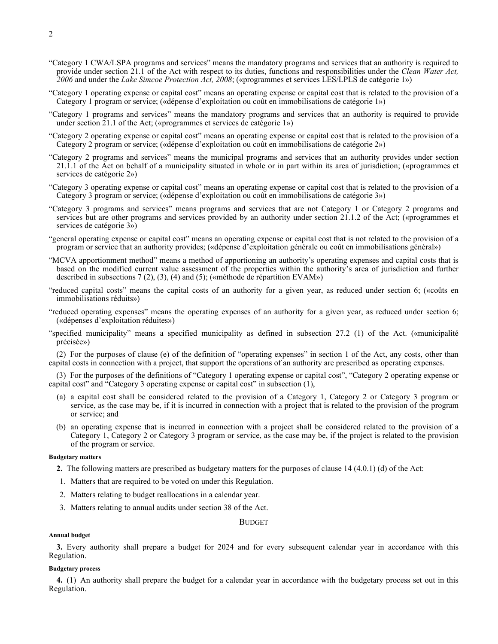- "Category 1 CWA/LSPA programs and services" means the mandatory programs and services that an authority is required to provide under section 21.1 of the Act with respect to its duties, functions and responsibilities under the *Clean Water Act, 2006* and under the *Lake Simcoe Protection Act, 2008*; («programmes et services LES/LPLS de catégorie 1»)
- "Category 1 operating expense or capital cost" means an operating expense or capital cost that is related to the provision of a Category 1 program or service; («dépense d'exploitation ou coût en immobilisations de catégorie 1»)
- "Category 1 programs and services" means the mandatory programs and services that an authority is required to provide under section 21.1 of the Act; («programmes et services de catégorie 1»)
- "Category 2 operating expense or capital cost" means an operating expense or capital cost that is related to the provision of a Category 2 program or service; («dépense d'exploitation ou coût en immobilisations de catégorie 2»)
- "Category 2 programs and services" means the municipal programs and services that an authority provides under section 21.1.1 of the Act on behalf of a municipality situated in whole or in part within its area of jurisdiction; («programmes et services de catégorie 2»)
- "Category 3 operating expense or capital cost" means an operating expense or capital cost that is related to the provision of a Category 3 program or service; («dépense d'exploitation ou coût en immobilisations de catégorie 3»)
- "Category 3 programs and services" means programs and services that are not Category 1 or Category 2 programs and services but are other programs and services provided by an authority under section 21.1.2 of the Act; («programmes et services de catégorie 3»)
- "general operating expense or capital cost" means an operating expense or capital cost that is not related to the provision of a program or service that an authority provides; («dépense d'exploitation générale ou coût en immobilisations général»)
- "MCVA apportionment method" means a method of apportioning an authority's operating expenses and capital costs that is based on the modified current value assessment of the properties within the authority's area of jurisdiction and further described in subsections 7 (2), (3), (4) and (5); («méthode de répartition EVAM»)
- "reduced capital costs" means the capital costs of an authority for a given year, as reduced under section 6; («coûts en immobilisations réduits»)
- "reduced operating expenses" means the operating expenses of an authority for a given year, as reduced under section 6; («dépenses d'exploitation réduites»)
- "specified municipality" means a specified municipality as defined in subsection 27.2 (1) of the Act. («municipalité précisée»)

(2) For the purposes of clause (e) of the definition of "operating expenses" in section 1 of the Act, any costs, other than capital costs in connection with a project, that support the operations of an authority are prescribed as operating expenses.

(3) For the purposes of the definitions of "Category 1 operating expense or capital cost", "Category 2 operating expense or capital cost" and "Category 3 operating expense or capital cost" in subsection (1),

- (a) a capital cost shall be considered related to the provision of a Category 1, Category 2 or Category 3 program or service, as the case may be, if it is incurred in connection with a project that is related to the provision of the program or service; and
- (b) an operating expense that is incurred in connection with a project shall be considered related to the provision of a Category 1, Category 2 or Category 3 program or service, as the case may be, if the project is related to the provision of the program or service.

### **Budgetary matters**

- <span id="page-1-0"></span>**2.** The following matters are prescribed as budgetary matters for the purposes of clause 14 (4.0.1) (d) of the Act:
- 1. Matters that are required to be voted on under this Regulation.
- 2. Matters relating to budget reallocations in a calendar year.
- <span id="page-1-1"></span>3. Matters relating to annual audits under section 38 of the Act.

**BUDGET** 

#### **Annual budget**

<span id="page-1-2"></span>**3.** Every authority shall prepare a budget for 2024 and for every subsequent calendar year in accordance with this Regulation.

### **Budgetary process**

<span id="page-1-3"></span>**4.** (1) An authority shall prepare the budget for a calendar year in accordance with the budgetary process set out in this Regulation.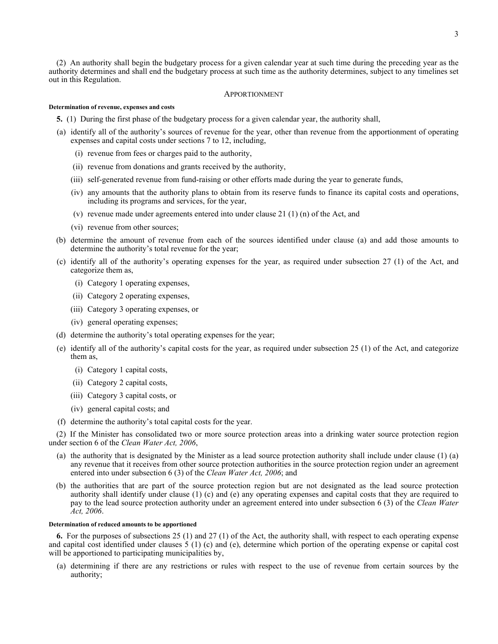(2) An authority shall begin the budgetary process for a given calendar year at such time during the preceding year as the authority determines and shall end the budgetary process at such time as the authority determines, subject to any timelines set out in this Regulation.

### APPORTIONMENT

#### <span id="page-2-0"></span>**Determination of revenue, expenses and costs**

- <span id="page-2-1"></span>**5.** (1) During the first phase of the budgetary process for a given calendar year, the authority shall,
- (a) identify all of the authority's sources of revenue for the year, other than revenue from the apportionment of operating expenses and capital costs under sections 7 to 12, including,
	- (i) revenue from fees or charges paid to the authority,
	- (ii) revenue from donations and grants received by the authority,
	- (iii) self-generated revenue from fund-raising or other efforts made during the year to generate funds,
	- (iv) any amounts that the authority plans to obtain from its reserve funds to finance its capital costs and operations, including its programs and services, for the year,
	- (v) revenue made under agreements entered into under clause 21 (1) (n) of the Act, and
	- (vi) revenue from other sources;
- (b) determine the amount of revenue from each of the sources identified under clause (a) and add those amounts to determine the authority's total revenue for the year;
- (c) identify all of the authority's operating expenses for the year, as required under subsection 27 (1) of the Act, and categorize them as,
	- (i) Category 1 operating expenses,
	- (ii) Category 2 operating expenses,
	- (iii) Category 3 operating expenses, or
	- (iv) general operating expenses;
- (d) determine the authority's total operating expenses for the year;
- (e) identify all of the authority's capital costs for the year, as required under subsection 25 (1) of the Act, and categorize them as,
	- (i) Category 1 capital costs,
	- (ii) Category 2 capital costs,
	- (iii) Category 3 capital costs, or
	- (iv) general capital costs; and
- (f) determine the authority's total capital costs for the year.

(2) If the Minister has consolidated two or more source protection areas into a drinking water source protection region under section 6 of the *Clean Water Act, 2006*,

- (a) the authority that is designated by the Minister as a lead source protection authority shall include under clause (1) (a) any revenue that it receives from other source protection authorities in the source protection region under an agreement entered into under subsection 6 (3) of the *Clean Water Act, 2006*; and
- (b) the authorities that are part of the source protection region but are not designated as the lead source protection authority shall identify under clause (1) (c) and (e) any operating expenses and capital costs that they are required to pay to the lead source protection authority under an agreement entered into under subsection 6 (3) of the *Clean Water Act, 2006*.

#### **Determination of reduced amounts to be apportioned**

<span id="page-2-2"></span>**6.** For the purposes of subsections 25 (1) and 27 (1) of the Act, the authority shall, with respect to each operating expense and capital cost identified under clauses 5 (1) (c) and (e), determine which portion of the operating expense or capital cost will be apportioned to participating municipalities by,

(a) determining if there are any restrictions or rules with respect to the use of revenue from certain sources by the authority;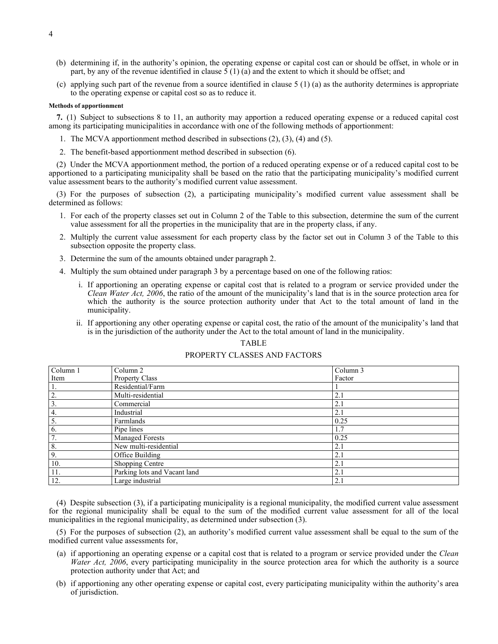- (b) determining if, in the authority's opinion, the operating expense or capital cost can or should be offset, in whole or in part, by any of the revenue identified in clause  $\zeta(1)$  (a) and the extent to which it should be offset; and
- (c) applying such part of the revenue from a source identified in clause  $5(1)$  (a) as the authority determines is appropriate to the operating expense or capital cost so as to reduce it.

#### **Methods of apportionment**

<span id="page-3-0"></span>**7.** (1) Subject to subsections 8 to 11, an authority may apportion a reduced operating expense or a reduced capital cost among its participating municipalities in accordance with one of the following methods of apportionment:

- 1. The MCVA apportionment method described in subsections (2), (3), (4) and (5).
- 2. The benefit-based apportionment method described in subsection (6).

(2) Under the MCVA apportionment method, the portion of a reduced operating expense or of a reduced capital cost to be apportioned to a participating municipality shall be based on the ratio that the participating municipality's modified current value assessment bears to the authority's modified current value assessment.

(3) For the purposes of subsection (2), a participating municipality's modified current value assessment shall be determined as follows:

- 1. For each of the property classes set out in Column 2 of the Table to this subsection, determine the sum of the current value assessment for all the properties in the municipality that are in the property class, if any.
- 2. Multiply the current value assessment for each property class by the factor set out in Column 3 of the Table to this subsection opposite the property class.
- 3. Determine the sum of the amounts obtained under paragraph 2.
- 4. Multiply the sum obtained under paragraph 3 by a percentage based on one of the following ratios:
	- i. If apportioning an operating expense or capital cost that is related to a program or service provided under the *Clean Water Act, 2006*, the ratio of the amount of the municipality's land that is in the source protection area for which the authority is the source protection authority under that Act to the total amount of land in the municipality.
	- ii. If apportioning any other operating expense or capital cost, the ratio of the amount of the municipality's land that is in the jurisdiction of the authority under the Act to the total amount of land in the municipality.

#### TABLE

### PROPERTY CLASSES AND FACTORS

| $\overline{\text{Column}}$ 1 | Column <sub>2</sub>          | Column 3 |
|------------------------------|------------------------------|----------|
| Item                         | Property Class               | Factor   |
| 1.                           | Residential/Farm             |          |
| $\overline{2}$ .             | Multi-residential            | 2.1      |
| 3.                           | Commercial                   | 2.1      |
| 4.                           | Industrial                   | 2.1      |
| 5.                           | Farmlands                    | 0.25     |
| 6.                           | Pipe lines                   | 1.7      |
| $\overline{7}$ .             | <b>Managed Forests</b>       | 0.25     |
| 8.                           | New multi-residential        | 2.1      |
| 9.                           | Office Building              | 2.1      |
| 10.                          | Shopping Centre              | 2.1      |
| 11.                          | Parking lots and Vacant land | 2.1      |
| 12.                          | Large industrial             | 2.1      |

(4) Despite subsection (3), if a participating municipality is a regional municipality, the modified current value assessment for the regional municipality shall be equal to the sum of the modified current value assessment for all of the local municipalities in the regional municipality, as determined under subsection (3).

(5) For the purposes of subsection (2), an authority's modified current value assessment shall be equal to the sum of the modified current value assessments for,

- (a) if apportioning an operating expense or a capital cost that is related to a program or service provided under the *Clean Water Act, 2006*, every participating municipality in the source protection area for which the authority is a source protection authority under that Act; and
- (b) if apportioning any other operating expense or capital cost, every participating municipality within the authority's area of jurisdiction.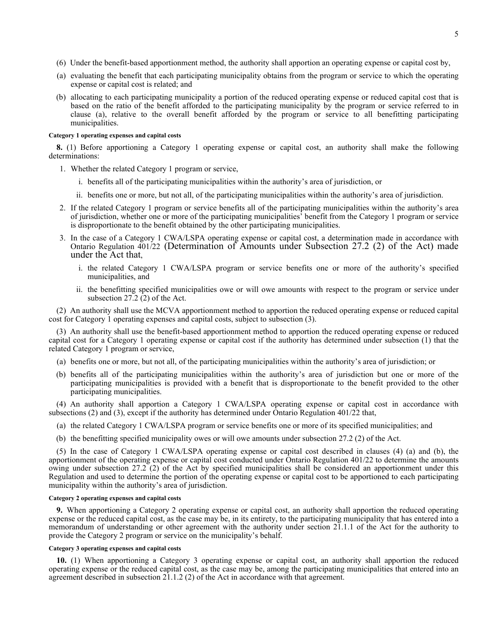- (6) Under the benefit-based apportionment method, the authority shall apportion an operating expense or capital cost by,
- (a) evaluating the benefit that each participating municipality obtains from the program or service to which the operating expense or capital cost is related; and
- (b) allocating to each participating municipality a portion of the reduced operating expense or reduced capital cost that is based on the ratio of the benefit afforded to the participating municipality by the program or service referred to in clause (a), relative to the overall benefit afforded by the program or service to all benefitting participating municipalities.

#### **Category 1 operating expenses and capital costs**

<span id="page-4-0"></span>**8.** (1) Before apportioning a Category 1 operating expense or capital cost, an authority shall make the following determinations:

- 1. Whether the related Category 1 program or service,
	- i. benefits all of the participating municipalities within the authority's area of jurisdiction, or
	- ii. benefits one or more, but not all, of the participating municipalities within the authority's area of jurisdiction.
- 2. If the related Category 1 program or service benefits all of the participating municipalities within the authority's area of jurisdiction, whether one or more of the participating municipalities' benefit from the Category 1 program or service is disproportionate to the benefit obtained by the other participating municipalities.
- 3. In the case of a Category 1 CWA/LSPA operating expense or capital cost, a determination made in accordance with Ontario Regulation 401/22 (Determination of Amounts under Subsection 27.2 (2) of the Act) made under the Act that,
	- i. the related Category 1 CWA/LSPA program or service benefits one or more of the authority's specified municipalities, and
	- ii. the benefitting specified municipalities owe or will owe amounts with respect to the program or service under subsection 27.2 (2) of the Act.

(2) An authority shall use the MCVA apportionment method to apportion the reduced operating expense or reduced capital cost for Category 1 operating expenses and capital costs, subject to subsection (3).

(3) An authority shall use the benefit-based apportionment method to apportion the reduced operating expense or reduced capital cost for a Category 1 operating expense or capital cost if the authority has determined under subsection (1) that the related Category 1 program or service,

- (a) benefits one or more, but not all, of the participating municipalities within the authority's area of jurisdiction; or
- (b) benefits all of the participating municipalities within the authority's area of jurisdiction but one or more of the participating municipalities is provided with a benefit that is disproportionate to the benefit provided to the other participating municipalities.

(4) An authority shall apportion a Category 1 CWA/LSPA operating expense or capital cost in accordance with subsections (2) and (3), except if the authority has determined under Ontario Regulation 401/22 that,

- (a) the related Category 1 CWA/LSPA program or service benefits one or more of its specified municipalities; and
- (b) the benefitting specified municipality owes or will owe amounts under subsection 27.2 (2) of the Act.

(5) In the case of Category 1 CWA/LSPA operating expense or capital cost described in clauses (4) (a) and (b), the apportionment of the operating expense or capital cost conducted under Ontario Regulation 401/22 to determine the amounts owing under subsection 27.2 (2) of the Act by specified municipalities shall be considered an apportionment under this Regulation and used to determine the portion of the operating expense or capital cost to be apportioned to each participating municipality within the authority's area of jurisdiction.

### **Category 2 operating expenses and capital costs**

<span id="page-4-1"></span>**9.** When apportioning a Category 2 operating expense or capital cost, an authority shall apportion the reduced operating expense or the reduced capital cost, as the case may be, in its entirety, to the participating municipality that has entered into a memorandum of understanding or other agreement with the authority under section 21.1.1 of the Act for the authority to provide the Category 2 program or service on the municipality's behalf.

#### **Category 3 operating expenses and capital costs**

<span id="page-4-2"></span>**10.** (1) When apportioning a Category 3 operating expense or capital cost, an authority shall apportion the reduced operating expense or the reduced capital cost, as the case may be, among the participating municipalities that entered into an agreement described in subsection 21.1.2 (2) of the Act in accordance with that agreement.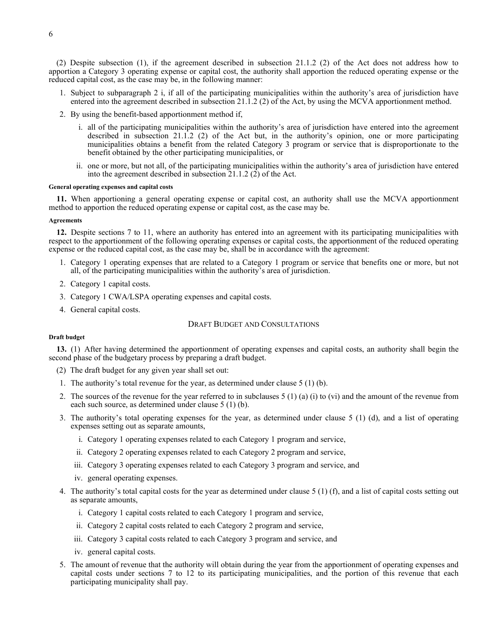(2) Despite subsection (1), if the agreement described in subsection 21.1.2 (2) of the Act does not address how to apportion a Category 3 operating expense or capital cost, the authority shall apportion the reduced operating expense or the reduced capital cost, as the case may be, in the following manner:

- 1. Subject to subparagraph 2 i, if all of the participating municipalities within the authority's area of jurisdiction have entered into the agreement described in subsection 21.1.2 (2) of the Act, by using the MCVA apportionment method.
- 2. By using the benefit-based apportionment method if,
	- i. all of the participating municipalities within the authority's area of jurisdiction have entered into the agreement described in subsection 21.1.2 (2) of the Act but, in the authority's opinion, one or more participating municipalities obtains a benefit from the related Category 3 program or service that is disproportionate to the benefit obtained by the other participating municipalities, or
	- ii. one or more, but not all, of the participating municipalities within the authority's area of jurisdiction have entered into the agreement described in subsection 21.1.2 (2) of the Act.

#### **General operating expenses and capital costs**

<span id="page-5-0"></span>**11.** When apportioning a general operating expense or capital cost, an authority shall use the MCVA apportionment method to apportion the reduced operating expense or capital cost, as the case may be.

#### **Agreements**

<span id="page-5-1"></span>**12.** Despite sections 7 to 11, where an authority has entered into an agreement with its participating municipalities with respect to the apportionment of the following operating expenses or capital costs, the apportionment of the reduced operating expense or the reduced capital cost, as the case may be, shall be in accordance with the agreement:

- 1. Category 1 operating expenses that are related to a Category 1 program or service that benefits one or more, but not all, of the participating municipalities within the authority's area of jurisdiction.
- 2. Category 1 capital costs.
- 3. Category 1 CWA/LSPA operating expenses and capital costs.
- <span id="page-5-2"></span>4. General capital costs.

### DRAFT BUDGET AND CONSULTATIONS

#### **Draft budget**

<span id="page-5-3"></span>**13.** (1) After having determined the apportionment of operating expenses and capital costs, an authority shall begin the second phase of the budgetary process by preparing a draft budget.

- (2) The draft budget for any given year shall set out:
- 1. The authority's total revenue for the year, as determined under clause 5 (1) (b).
- 2. The sources of the revenue for the year referred to in subclauses  $5(1)(a)(i)$  to (vi) and the amount of the revenue from each such source, as determined under clause 5 (1) (b).
- 3. The authority's total operating expenses for the year, as determined under clause 5 (1) (d), and a list of operating expenses setting out as separate amounts,
	- i. Category 1 operating expenses related to each Category 1 program and service,
	- ii. Category 2 operating expenses related to each Category 2 program and service,
	- iii. Category 3 operating expenses related to each Category 3 program and service, and
	- iv. general operating expenses.
- 4. The authority's total capital costs for the year as determined under clause 5 (1) (f), and a list of capital costs setting out as separate amounts,
	- i. Category 1 capital costs related to each Category 1 program and service,
	- ii. Category 2 capital costs related to each Category 2 program and service,
	- iii. Category 3 capital costs related to each Category 3 program and service, and
	- iv. general capital costs.
- 5. The amount of revenue that the authority will obtain during the year from the apportionment of operating expenses and capital costs under sections 7 to 12 to its participating municipalities, and the portion of this revenue that each participating municipality shall pay.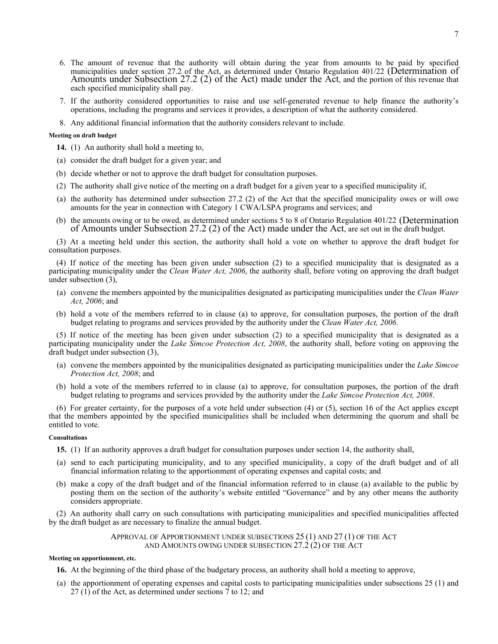- 6. The amount of revenue that the authority will obtain during the year from amounts to be paid by specified municipalities under section 27.2 of the Act, as determined under Ontario Regulation 401/22 (Determination of Amounts under Subsection 27.2 (2) of the Act) made under the Act, and the portion of this revenue that each specified municipality shall pay.
- 7. If the authority considered opportunities to raise and use self-generated revenue to help finance the authority's operations, including the programs and services it provides, a description of what the authority considered.
- 8. Any additional financial information that the authority considers relevant to include.

#### **Meeting on draft budget**

- <span id="page-6-0"></span>**14.** (1) An authority shall hold a meeting to,
- (a) consider the draft budget for a given year; and
- (b) decide whether or not to approve the draft budget for consultation purposes.
- (2) The authority shall give notice of the meeting on a draft budget for a given year to a specified municipality if,
- (a) the authority has determined under subsection 27.2 (2) of the Act that the specified municipality owes or will owe amounts for the year in connection with Category 1 CWA/LSPA programs and services; and
- (b) the amounts owing or to be owed, as determined under sections 5 to 8 of Ontario Regulation 401/22 (Determination of Amounts under Subsection 27.2 (2) of the Act) made under the Act, are set out in the draft budget.

(3) At a meeting held under this section, the authority shall hold a vote on whether to approve the draft budget for consultation purposes.

(4) If notice of the meeting has been given under subsection (2) to a specified municipality that is designated as a participating municipality under the *Clean Water Act, 2006*, the authority shall, before voting on approving the draft budget under subsection (3),

- (a) convene the members appointed by the municipalities designated as participating municipalities under the *Clean Water Act, 2006*; and
- (b) hold a vote of the members referred to in clause (a) to approve, for consultation purposes, the portion of the draft budget relating to programs and services provided by the authority under the *Clean Water Act, 2006*.

(5) If notice of the meeting has been given under subsection (2) to a specified municipality that is designated as a participating municipality under the *Lake Simcoe Protection Act, 2008*, the authority shall, before voting on approving the draft budget under subsection (3),

- (a) convene the members appointed by the municipalities designated as participating municipalities under the *Lake Simcoe Protection Act, 2008*; and
- (b) hold a vote of the members referred to in clause (a) to approve, for consultation purposes, the portion of the draft budget relating to programs and services provided by the authority under the *Lake Simcoe Protection Act, 2008*.

(6) For greater certainty, for the purposes of a vote held under subsection (4) or (5), section 16 of the Act applies except that the members appointed by the specified municipalities shall be included when determining the quorum and shall be entitled to vote.

#### **Consultations**

- <span id="page-6-1"></span>**15.** (1) If an authority approves a draft budget for consultation purposes under section 14, the authority shall,
- (a) send to each participating municipality, and to any specified municipality, a copy of the draft budget and of all financial information relating to the apportionment of operating expenses and capital costs; and
- (b) make a copy of the draft budget and of the financial information referred to in clause (a) available to the public by posting them on the section of the authority's website entitled "Governance" and by any other means the authority considers appropriate.

<span id="page-6-2"></span>(2) An authority shall carry on such consultations with participating municipalities and specified municipalities affected by the draft budget as are necessary to finalize the annual budget.

> APPROVAL OF APPORTIONMENT UNDER SUBSECTIONS 25 (1) AND 27 (1) OF THE ACT AND AMOUNTS OWING UNDER SUBSECTION 27.2 (2) OF THE ACT

#### **Meeting on apportionment, etc.**

<span id="page-6-3"></span>**16.** At the beginning of the third phase of the budgetary process, an authority shall hold a meeting to approve,

(a) the apportionment of operating expenses and capital costs to participating municipalities under subsections 25 (1) and 27 (1) of the Act, as determined under sections 7 to 12; and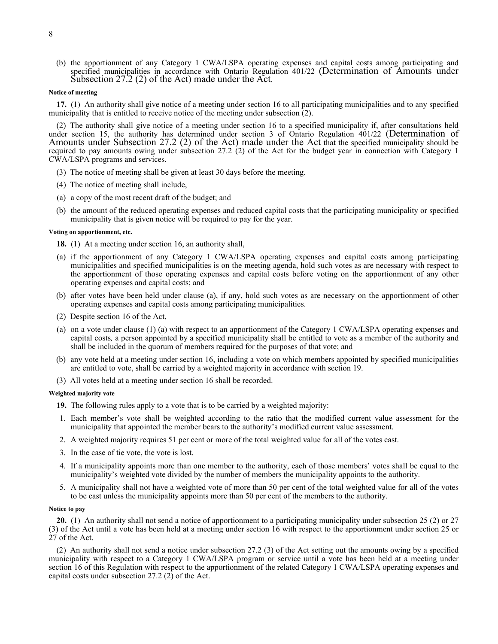(b) the apportionment of any Category 1 CWA/LSPA operating expenses and capital costs among participating and specified municipalities in accordance with Ontario Regulation 401/22 (Determination of Amounts under Subsection 27.2 (2) of the Act) made under the Act.

#### **Notice of meeting**

<span id="page-7-0"></span>**17.** (1) An authority shall give notice of a meeting under section 16 to all participating municipalities and to any specified municipality that is entitled to receive notice of the meeting under subsection (2).

(2) The authority shall give notice of a meeting under section 16 to a specified municipality if, after consultations held under section 15, the authority has determined under section 3 of Ontario Regulation 401/22 (Determination of Amounts under Subsection 27.2 (2) of the Act) made under the Act that the specified municipality should be required to pay amounts owing under subsection 27.2 (2) of the Act for the budget year in connection with Category 1 CWA/LSPA programs and services.

- (3) The notice of meeting shall be given at least 30 days before the meeting.
- (4) The notice of meeting shall include,
- (a) a copy of the most recent draft of the budget; and
- (b) the amount of the reduced operating expenses and reduced capital costs that the participating municipality or specified municipality that is given notice will be required to pay for the year.

#### **Voting on apportionment, etc.**

<span id="page-7-1"></span>**18.** (1) At a meeting under section 16, an authority shall,

- (a) if the apportionment of any Category 1 CWA/LSPA operating expenses and capital costs among participating municipalities and specified municipalities is on the meeting agenda, hold such votes as are necessary with respect to the apportionment of those operating expenses and capital costs before voting on the apportionment of any other operating expenses and capital costs; and
- (b) after votes have been held under clause (a), if any, hold such votes as are necessary on the apportionment of other operating expenses and capital costs among participating municipalities.
- (2) Despite section 16 of the Act,
- (a) on a vote under clause (1) (a) with respect to an apportionment of the Category 1 CWA/LSPA operating expenses and capital costs*,* a person appointed by a specified municipality shall be entitled to vote as a member of the authority and shall be included in the quorum of members required for the purposes of that vote; and
- (b) any vote held at a meeting under section 16, including a vote on which members appointed by specified municipalities are entitled to vote, shall be carried by a weighted majority in accordance with section 19.
- (3) All votes held at a meeting under section 16 shall be recorded.

#### **Weighted majority vote**

<span id="page-7-2"></span>**19.** The following rules apply to a vote that is to be carried by a weighted majority:

- 1. Each member's vote shall be weighted according to the ratio that the modified current value assessment for the municipality that appointed the member bears to the authority's modified current value assessment.
- 2. A weighted majority requires 51 per cent or more of the total weighted value for all of the votes cast.
- 3. In the case of tie vote, the vote is lost.
- 4. If a municipality appoints more than one member to the authority, each of those members' votes shall be equal to the municipality's weighted vote divided by the number of members the municipality appoints to the authority.
- 5. A municipality shall not have a weighted vote of more than 50 per cent of the total weighted value for all of the votes to be cast unless the municipality appoints more than 50 per cent of the members to the authority.

#### **Notice to pay**

<span id="page-7-3"></span>**20.** (1) An authority shall not send a notice of apportionment to a participating municipality under subsection 25 (2) or 27 (3) of the Act until a vote has been held at a meeting under section 16 with respect to the apportionment under section 25 or 27 of the Act.

(2) An authority shall not send a notice under subsection 27.2 (3) of the Act setting out the amounts owing by a specified municipality with respect to a Category 1 CWA/LSPA program or service until a vote has been held at a meeting under section 16 of this Regulation with respect to the apportionment of the related Category 1 CWA/LSPA operating expenses and capital costs under subsection 27.2 (2) of the Act.